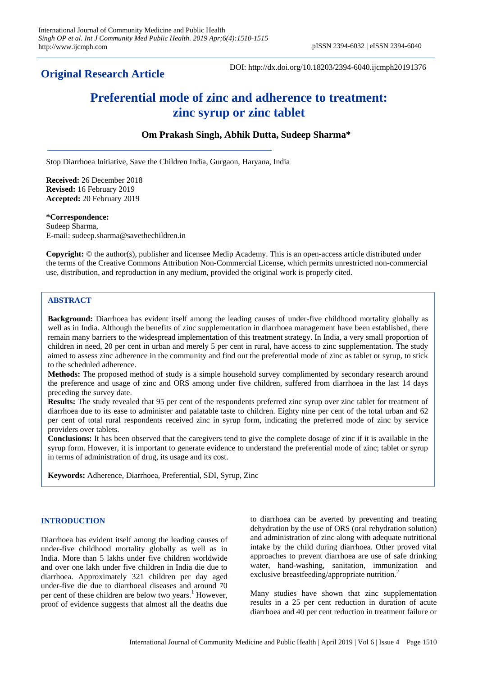**Original Research Article**

DOI: http://dx.doi.org/10.18203/2394-6040.ijcmph20191376

# **Preferential mode of zinc and adherence to treatment: zinc syrup or zinc tablet**

# **Om Prakash Singh, Abhik Dutta, Sudeep Sharma\***

Stop Diarrhoea Initiative, Save the Children India, Gurgaon, Haryana, India

**Received:** 26 December 2018 **Revised:** 16 February 2019 **Accepted:** 20 February 2019

#### **\*Correspondence:**

Sudeep Sharma, E-mail: sudeep.sharma@savethechildren.in

**Copyright:** © the author(s), publisher and licensee Medip Academy. This is an open-access article distributed under the terms of the Creative Commons Attribution Non-Commercial License, which permits unrestricted non-commercial use, distribution, and reproduction in any medium, provided the original work is properly cited.

# **ABSTRACT**

**Background:** Diarrhoea has evident itself among the leading causes of under-five childhood mortality globally as well as in India. Although the benefits of zinc supplementation in diarrhoea management have been established, there remain many barriers to the widespread implementation of this treatment strategy. In India, a very small proportion of children in need, 20 per cent in urban and merely 5 per cent in rural, have access to zinc supplementation. The study aimed to assess zinc adherence in the community and find out the preferential mode of zinc as tablet or syrup, to stick to the scheduled adherence.

**Methods:** The proposed method of study is a simple household survey complimented by secondary research around the preference and usage of zinc and ORS among under five children, suffered from diarrhoea in the last 14 days preceding the survey date.

**Results:** The study revealed that 95 per cent of the respondents preferred zinc syrup over zinc tablet for treatment of diarrhoea due to its ease to administer and palatable taste to children. Eighty nine per cent of the total urban and 62 per cent of total rural respondents received zinc in syrup form, indicating the preferred mode of zinc by service providers over tablets.

**Conclusions:** It has been observed that the caregivers tend to give the complete dosage of zinc if it is available in the syrup form. However, it is important to generate evidence to understand the preferential mode of zinc; tablet or syrup in terms of administration of drug, its usage and its cost.

**Keywords:** Adherence, Diarrhoea, Preferential, SDI, Syrup, Zinc

# **INTRODUCTION**

Diarrhoea has evident itself among the leading causes of under-five childhood mortality globally as well as in India. More than 5 lakhs under five children worldwide and over one lakh under five children in India die due to diarrhoea. Approximately 321 children per day aged under-five die due to diarrhoeal diseases and around 70 per cent of these children are below two years.<sup>1</sup> However, proof of evidence suggests that almost all the deaths due

to diarrhoea can be averted by preventing and treating dehydration by the use of ORS (oral rehydration solution) and administration of zinc along with adequate nutritional intake by the child during diarrhoea. Other proved vital approaches to prevent diarrhoea are use of safe drinking water, hand-washing, sanitation, immunization and exclusive breastfeeding/appropriate nutrition.<sup>2</sup>

Many studies have shown that zinc supplementation results in a 25 per cent reduction in duration of acute diarrhoea and 40 per cent reduction in treatment failure or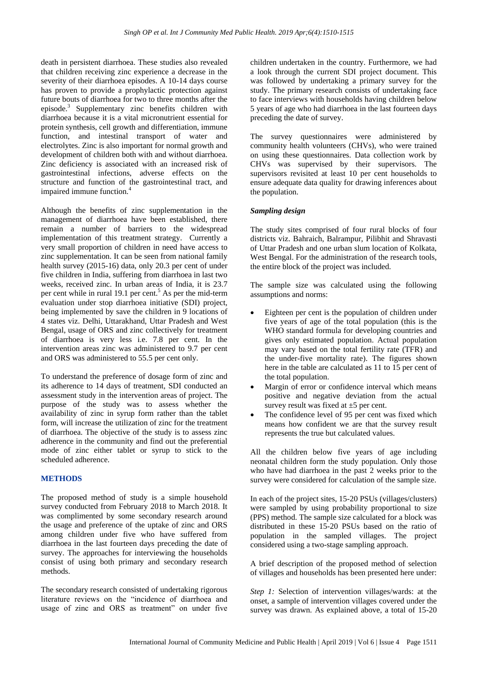death in persistent diarrhoea. These studies also revealed that children receiving zinc experience a decrease in the severity of their diarrhoea episodes. A 10-14 days course has proven to provide a prophylactic protection against future bouts of diarrhoea for two to three months after the episode.<sup>3</sup> Supplementary zinc benefits children with diarrhoea because it is a vital micronutrient essential for protein synthesis, cell growth and differentiation, immune function, and intestinal transport of water and electrolytes. Zinc is also important for normal growth and development of children both with and without diarrhoea. Zinc deficiency is associated with an increased risk of gastrointestinal infections, adverse effects on the structure and function of the gastrointestinal tract, and impaired immune function.<sup>4</sup>

Although the benefits of zinc supplementation in the management of diarrhoea have been established, there remain a number of barriers to the widespread implementation of this treatment strategy. Currently a very small proportion of children in need have access to zinc supplementation. It can be seen from national family health survey (2015-16) data, only 20.3 per cent of under five children in India, suffering from diarrhoea in last two weeks, received zinc. In urban areas of India, it is 23.7 per cent while in rural 19.1 per cent.<sup>5</sup> As per the mid-term evaluation under stop diarrhoea initiative (SDI) project, being implemented by save the children in 9 locations of 4 states viz. Delhi, Uttarakhand, Uttar Pradesh and West Bengal, usage of ORS and zinc collectively for treatment of diarrhoea is very less i.e. 7.8 per cent. In the intervention areas zinc was administered to 9.7 per cent and ORS was administered to 55.5 per cent only.

To understand the preference of dosage form of zinc and its adherence to 14 days of treatment, SDI conducted an assessment study in the intervention areas of project. The purpose of the study was to assess whether the availability of zinc in syrup form rather than the tablet form, will increase the utilization of zinc for the treatment of diarrhoea. The objective of the study is to assess zinc adherence in the community and find out the preferential mode of zinc either tablet or syrup to stick to the scheduled adherence.

# **METHODS**

The proposed method of study is a simple household survey conducted from February 2018 to March 2018. It was complimented by some secondary research around the usage and preference of the uptake of zinc and ORS among children under five who have suffered from diarrhoea in the last fourteen days preceding the date of survey. The approaches for interviewing the households consist of using both primary and secondary research methods.

The secondary research consisted of undertaking rigorous literature reviews on the "incidence of diarrhoea and usage of zinc and ORS as treatment" on under five children undertaken in the country. Furthermore, we had a look through the current SDI project document. This was followed by undertaking a primary survey for the study. The primary research consists of undertaking face to face interviews with households having children below 5 years of age who had diarrhoea in the last fourteen days preceding the date of survey.

The survey questionnaires were administered by community health volunteers (CHVs), who were trained on using these questionnaires. Data collection work by CHVs was supervised by their supervisors. The supervisors revisited at least 10 per cent households to ensure adequate data quality for drawing inferences about the population.

# *Sampling design*

The study sites comprised of four rural blocks of four districts viz. Bahraich, Balrampur, Pilibhit and Shravasti of Uttar Pradesh and one urban slum location of Kolkata, West Bengal. For the administration of the research tools, the entire block of the project was included.

The sample size was calculated using the following assumptions and norms:

- Eighteen per cent is the population of children under five years of age of the total population (this is the WHO standard formula for developing countries and gives only estimated population. Actual population may vary based on the total fertility rate (TFR) and the under-five mortality rate). The figures shown here in the table are calculated as 11 to 15 per cent of the total population.
- Margin of error or confidence interval which means positive and negative deviation from the actual survey result was fixed at  $\pm$ 5 per cent.
- The confidence level of 95 per cent was fixed which means how confident we are that the survey result represents the true but calculated values.

All the children below five years of age including neonatal children form the study population. Only those who have had diarrhoea in the past 2 weeks prior to the survey were considered for calculation of the sample size.

In each of the project sites, 15-20 PSUs (villages/clusters) were sampled by using probability proportional to size (PPS) method. The sample size calculated for a block was distributed in these 15-20 PSUs based on the ratio of population in the sampled villages. The project considered using a two-stage sampling approach.

A brief description of the proposed method of selection of villages and households has been presented here under:

*Step 1:* Selection of intervention villages/wards: at the onset, a sample of intervention villages covered under the survey was drawn. As explained above, a total of 15-20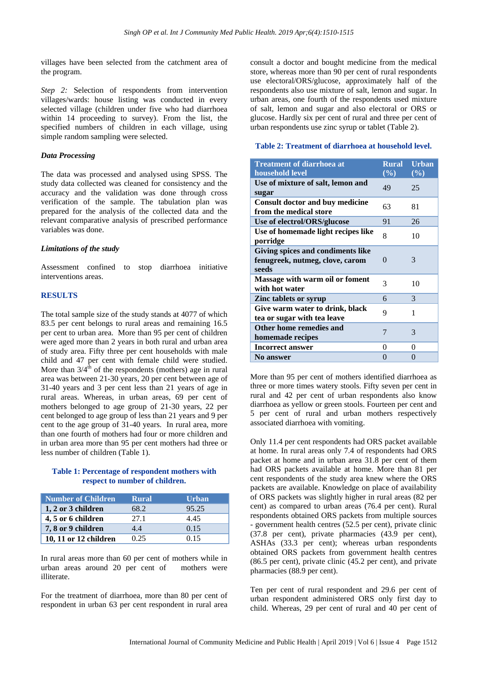villages have been selected from the catchment area of the program.

*Step 2:* Selection of respondents from intervention villages/wards: house listing was conducted in every selected village (children under five who had diarrhoea within 14 proceeding to survey). From the list, the specified numbers of children in each village, using simple random sampling were selected.

## *Data Processing*

The data was processed and analysed using SPSS. The study data collected was cleaned for consistency and the accuracy and the validation was done through cross verification of the sample. The tabulation plan was prepared for the analysis of the collected data and the relevant comparative analysis of prescribed performance variables was done.

## *Limitations of the study*

Assessment confined to stop diarrhoea initiative interventions areas.

## **RESULTS**

The total sample size of the study stands at 4077 of which 83.5 per cent belongs to rural areas and remaining 16.5 per cent to urban area. More than 95 per cent of children were aged more than 2 years in both rural and urban area of study area. Fifty three per cent households with male child and 47 per cent with female child were studied. More than  $3/4^{\text{th}}$  of the respondents (mothers) age in rural area was between 21-30 years, 20 per cent between age of 31-40 years and 3 per cent less than 21 years of age in rural areas. Whereas, in urban areas, 69 per cent of mothers belonged to age group of 21-30 years, 22 per cent belonged to age group of less than 21 years and 9 per cent to the age group of 31-40 years. In rural area, more than one fourth of mothers had four or more children and in urban area more than 95 per cent mothers had three or less number of children (Table 1).

## **Table 1: Percentage of respondent mothers with respect to number of children.**

| Number of Children    | Rural | <b>Urban</b> |
|-----------------------|-------|--------------|
| 1, 2 or 3 children    | 68.2  | 95.25        |
| 4, 5 or 6 children    | 27.1  | 4.45         |
| 7, 8 or 9 children    | 4.4   | 0.15         |
| 10, 11 or 12 children | 0.25  | 0.15         |

In rural areas more than 60 per cent of mothers while in urban areas around 20 per cent of mothers were illiterate.

For the treatment of diarrhoea, more than 80 per cent of respondent in urban 63 per cent respondent in rural area consult a doctor and bought medicine from the medical store, whereas more than 90 per cent of rural respondents use electoral/ORS/glucose, approximately half of the respondents also use mixture of salt, lemon and sugar. In urban areas, one fourth of the respondents used mixture of salt, lemon and sugar and also electoral or ORS or glucose. Hardly six per cent of rural and three per cent of urban respondents use zinc syrup or tablet (Table 2).

#### **Table 2: Treatment of diarrhoea at household level.**

| <b>Treatment of diarrhoea at</b><br>household level                           | <b>Rural</b><br>$($ %) | <b>Urban</b><br>$($ %) |
|-------------------------------------------------------------------------------|------------------------|------------------------|
| Use of mixture of salt, lemon and<br>sugar                                    | 49                     | 25                     |
| <b>Consult doctor and buy medicine</b><br>from the medical store              | 63                     | 81                     |
| Use of electrol/ORS/glucose                                                   | 91                     | 26                     |
| Use of homemade light recipes like<br>porridge                                | 8                      | 10                     |
| Giving spices and condiments like<br>fenugreek, nutmeg, clove, carom<br>seeds | $\Omega$               | 3                      |
| Massage with warm oil or foment<br>with hot water                             | 3                      | 10                     |
| Zinc tablets or syrup                                                         | 6                      | 3                      |
| Give warm water to drink, black<br>tea or sugar with tea leave                | 9                      | 1                      |
| Other home remedies and<br>homemade recipes                                   | 7                      | 3                      |
| <b>Incorrect answer</b>                                                       | 0                      | 0                      |
| <b>No answer</b>                                                              | $\mathcal{L}$          | $\mathbf{0}$           |

More than 95 per cent of mothers identified diarrhoea as three or more times watery stools. Fifty seven per cent in rural and 42 per cent of urban respondents also know diarrhoea as yellow or green stools. Fourteen per cent and 5 per cent of rural and urban mothers respectively associated diarrhoea with vomiting.

Only 11.4 per cent respondents had ORS packet available at home. In rural areas only 7.4 of respondents had ORS packet at home and in urban area 31.8 per cent of them had ORS packets available at home. More than 81 per cent respondents of the study area knew where the ORS packets are available. Knowledge on place of availability of ORS packets was slightly higher in rural areas (82 per cent) as compared to urban areas (76.4 per cent). Rural respondents obtained ORS packets from multiple sources - government health centres (52.5 per cent), private clinic (37.8 per cent), private pharmacies (43.9 per cent), ASHAs (33.3 per cent); whereas urban respondents obtained ORS packets from government health centres (86.5 per cent), private clinic (45.2 per cent), and private pharmacies (88.9 per cent).

Ten per cent of rural respondent and 29.6 per cent of urban respondent administered ORS only first day to child. Whereas, 29 per cent of rural and 40 per cent of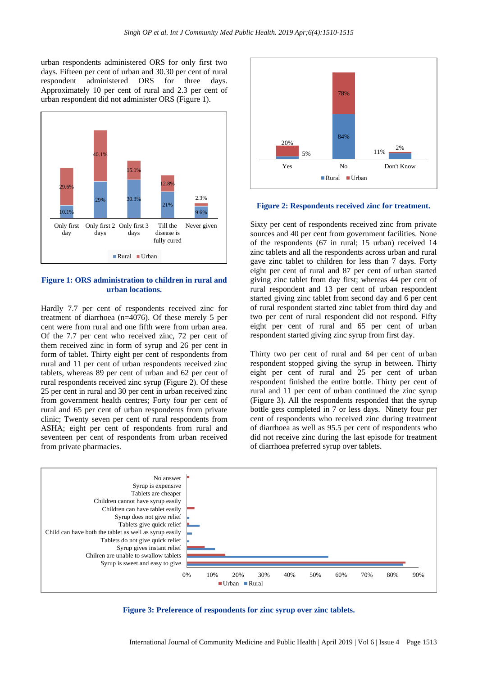urban respondents administered ORS for only first two days. Fifteen per cent of urban and 30.30 per cent of rural respondent administered ORS for three days. Approximately 10 per cent of rural and 2.3 per cent of urban respondent did not administer ORS (Figure 1).



#### **Figure 1: ORS administration to children in rural and urban locations.**

Hardly 7.7 per cent of respondents received zinc for treatment of diarrhoea (n=4076). Of these merely 5 per cent were from rural and one fifth were from urban area. Of the 7.7 per cent who received zinc, 72 per cent of them received zinc in form of syrup and 26 per cent in form of tablet. Thirty eight per cent of respondents from rural and 11 per cent of urban respondents received zinc tablets, whereas 89 per cent of urban and 62 per cent of rural respondents received zinc syrup (Figure 2). Of these 25 per cent in rural and 30 per cent in urban received zinc from government health centres; Forty four per cent of rural and 65 per cent of urban respondents from private clinic; Twenty seven per cent of rural respondents from ASHA; eight per cent of respondents from rural and seventeen per cent of respondents from urban received from private pharmacies.



#### **Figure 2: Respondents received zinc for treatment.**

Sixty per cent of respondents received zinc from private sources and 40 per cent from government facilities. None of the respondents (67 in rural; 15 urban) received 14 zinc tablets and all the respondents across urban and rural gave zinc tablet to children for less than 7 days. Forty eight per cent of rural and 87 per cent of urban started giving zinc tablet from day first; whereas 44 per cent of rural respondent and 13 per cent of urban respondent started giving zinc tablet from second day and 6 per cent of rural respondent started zinc tablet from third day and two per cent of rural respondent did not respond. Fifty eight per cent of rural and 65 per cent of urban respondent started giving zinc syrup from first day.

Thirty two per cent of rural and 64 per cent of urban respondent stopped giving the syrup in between. Thirty eight per cent of rural and 25 per cent of urban respondent finished the entire bottle. Thirty per cent of rural and 11 per cent of urban continued the zinc syrup (Figure 3). All the respondents responded that the syrup bottle gets completed in 7 or less days. Ninety four per cent of respondents who received zinc during treatment of diarrhoea as well as 95.5 per cent of respondents who did not receive zinc during the last episode for treatment of diarrhoea preferred syrup over tablets.



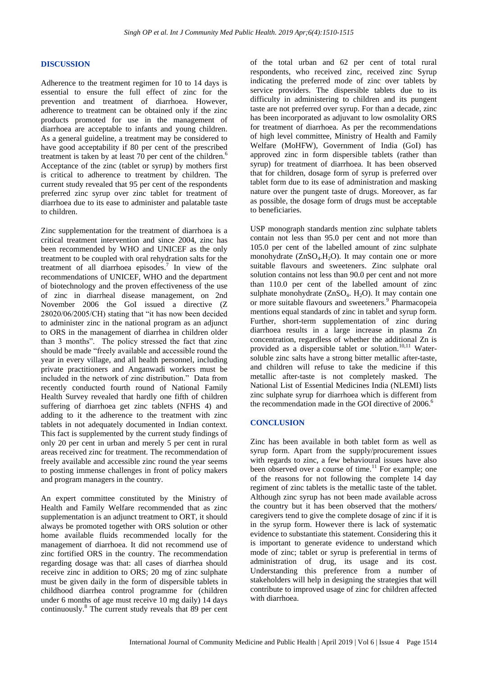#### **DISCUSSION**

Adherence to the treatment regimen for 10 to 14 days is essential to ensure the full effect of zinc for the prevention and treatment of diarrhoea. However, adherence to treatment can be obtained only if the zinc products promoted for use in the management of diarrhoea are acceptable to infants and young children. As a general guideline, a treatment may be considered to have good acceptability if 80 per cent of the prescribed treatment is taken by at least 70 per cent of the children.<sup>6</sup> Acceptance of the zinc (tablet or syrup) by mothers first is critical to adherence to treatment by children. The current study revealed that 95 per cent of the respondents preferred zinc syrup over zinc tablet for treatment of diarrhoea due to its ease to administer and palatable taste to children.

Zinc supplementation for the treatment of diarrhoea is a critical treatment intervention and since 2004, zinc has been recommended by WHO and UNICEF as the only treatment to be coupled with oral rehydration salts for the treatment of all diarrhoea episodes.<sup>7</sup> In view of the recommendations of UNICEF, WHO and the department of biotechnology and the proven effectiveness of the use of zinc in diarrheal disease management, on 2nd November 2006 the GoI issued a directive (Z 28020/06/2005/CH) stating that "it has now been decided to administer zinc in the national program as an adjunct to ORS in the management of diarrhea in children older than 3 months". The policy stressed the fact that zinc should be made "freely available and accessible round the year in every village, and all health personnel, including private practitioners and Anganwadi workers must be included in the network of zinc distribution." Data from recently conducted fourth round of National Family Health Survey revealed that hardly one fifth of children suffering of diarrhoea get zinc tablets (NFHS 4) and adding to it the adherence to the treatment with zinc tablets in not adequately documented in Indian context. This fact is supplemented by the current study findings of only 20 per cent in urban and merely 5 per cent in rural areas received zinc for treatment. The recommendation of freely available and accessible zinc round the year seems to posting immense challenges in front of policy makers and program managers in the country.

An expert committee constituted by the Ministry of Health and Family Welfare recommended that as zinc supplementation is an adjunct treatment to ORT, it should always be promoted together with ORS solution or other home available fluids recommended locally for the management of diarrhoea. It did not recommend use of zinc fortified ORS in the country. The recommendation regarding dosage was that: all cases of diarrhea should receive zinc in addition to ORS; 20 mg of zinc sulphate must be given daily in the form of dispersible tablets in childhood diarrhea control programme for (children under 6 months of age must receive 10 mg daily) 14 days continuously.<sup>8</sup> The current study reveals that 89 per cent of the total urban and 62 per cent of total rural respondents, who received zinc, received zinc Syrup indicating the preferred mode of zinc over tablets by service providers. The dispersible tablets due to its difficulty in administering to children and its pungent taste are not preferred over syrup. For than a decade, zinc has been incorporated as adjuvant to low osmolality ORS for treatment of diarrhoea. As per the recommendations of high level committee, Ministry of Health and Family Welfare (MoHFW), Government of India (GoI) has approved zinc in form dispersible tablets (rather than syrup) for treatment of diarrhoea. It has been observed that for children, dosage form of syrup is preferred over tablet form due to its ease of administration and masking nature over the pungent taste of drugs. Moreover, as far as possible, the dosage form of drugs must be acceptable to beneficiaries.

USP monograph standards mention zinc sulphate tablets contain not less than 95.0 per cent and not more than 105.0 per cent of the labelled amount of zinc sulphate monohydrate  $(ZnSO<sub>4</sub>,H<sub>2</sub>O)$ . It may contain one or more suitable flavours and sweeteners. Zinc sulphate oral solution contains not less than 90.0 per cent and not more than 110.0 per cent of the labelled amount of zinc sulphate monohydrate  $(ZnSO<sub>4</sub>, H<sub>2</sub>O)$ . It may contain one or more suitable flavours and sweeteners.<sup>9</sup> Pharmacopeia mentions equal standards of zinc in tablet and syrup form. Further, short-term supplementation of zinc during diarrhoea results in a large increase in plasma Zn concentration, regardless of whether the additional Zn is provided as a dispersible tablet or solution.<sup>10,11</sup> Watersoluble zinc salts have a strong bitter metallic after-taste, and children will refuse to take the medicine if this metallic after-taste is not completely masked. The National List of Essential Medicines India (NLEMI) lists zinc sulphate syrup for diarrhoea which is different from the recommendation made in the GOI directive of 2006.<sup>6</sup>

#### **CONCLUSION**

Zinc has been available in both tablet form as well as syrup form. Apart from the supply/procurement issues with regards to zinc, a few behavioural issues have also been observed over a course of time.<sup>11</sup> For example; one of the reasons for not following the complete 14 day regiment of zinc tablets is the metallic taste of the tablet. Although zinc syrup has not been made available across the country but it has been observed that the mothers/ caregivers tend to give the complete dosage of zinc if it is in the syrup form. However there is lack of systematic evidence to substantiate this statement. Considering this it is important to generate evidence to understand which mode of zinc; tablet or syrup is preferential in terms of administration of drug, its usage and its cost. Understanding this preference from a number of stakeholders will help in designing the strategies that will contribute to improved usage of zinc for children affected with diarrhoea.